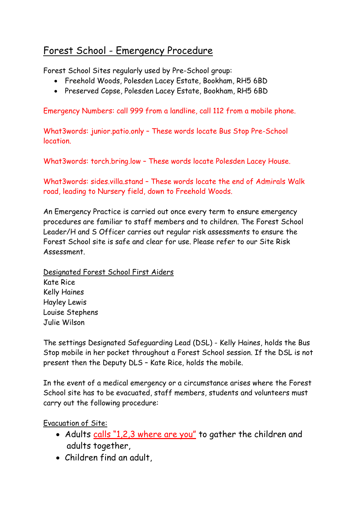## Forest School - Emergency Procedure

Forest School Sites regularly used by Pre-School group:

- Freehold Woods, Polesden Lacey Estate, Bookham, RH5 6BD
- Preserved Copse, Polesden Lacey Estate, Bookham, RH5 6BD

Emergency Numbers: call 999 from a landline, call 112 from a mobile phone.

What3words: junior.patio.only – These words locate Bus Stop Pre-School location.

What3words: torch.bring.low – These words locate Polesden Lacey House.

What3words: sides.villa.stand - These words locate the end of Admirals Walk road, leading to Nursery field, down to Freehold Woods.

An Emergency Practice is carried out once every term to ensure emergency procedures are familiar to staff members and to children. The Forest School Leader/H and S Officer carries out regular risk assessments to ensure the Forest School site is safe and clear for use. Please refer to our Site Risk Assessment.

Designated Forest School First Aiders Kate Rice Kelly Haines Hayley Lewis Louise Stephens Julie Wilson

The settings Designated Safeguarding Lead (DSL) - Kelly Haines, holds the Bus Stop mobile in her pocket throughout a Forest School session. If the DSL is not present then the Deputy DLS – Kate Rice, holds the mobile.

In the event of a medical emergency or a circumstance arises where the Forest School site has to be evacuated, staff members, students and volunteers must carry out the following procedure:

Evacuation of Site:

- Adults calls "1,2,3 where are you" to gather the children and adults together,
- Children find an adult,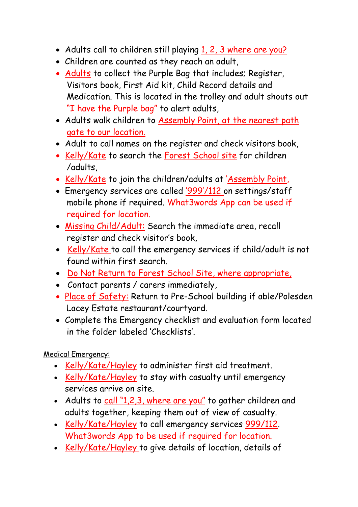- Adults call to children still playing 1, 2, 3 where are you?
- Children are counted as they reach an adult,
- Adults to collect the Purple Bag that includes; Register, Visitors book, First Aid kit, Child Record details and Medication. This is located in the trolley and adult shouts out "I have the Purple bag" to alert adults,
- Adults walk children to Assembly Point, at the nearest path gate to our location.
- Adult to call names on the register and check visitors book,
- Kelly/Kate to search the Forest School site for children /adults,
- Kelly/Kate to join the children/adults at 'Assembly Point,
- Emergency services are called '999'/112 on settings/staff mobile phone if required. What3words App can be used if required for location.
- Missing Child/Adult: Search the immediate area, recall register and check visitor's book,
- Kelly/Kate to call the emergency services if child/adult is not found within first search.
- Do Not Return to Forest School Site, where appropriate,
- Contact parents / carers immediately,
- Place of Safety: Return to Pre-School building if able/Polesden Lacey Estate restaurant/courtyard.
- Complete the Emergency checklist and evaluation form located in the folder labeled 'Checklists'.

Medical Emergency:

- Kelly/Kate/Hayley to administer first aid treatment.
- Kelly/Kate/Hayley to stay with casualty until emergency services arrive on site.
- Adults to call "1,2,3, where are you" to gather children and adults together, keeping them out of view of casualty.
- Kelly/Kate/Hayley to call emergency services 999/112. What3words App to be used if required for location.
- Kelly/Kate/Hayley to give details of location, details of